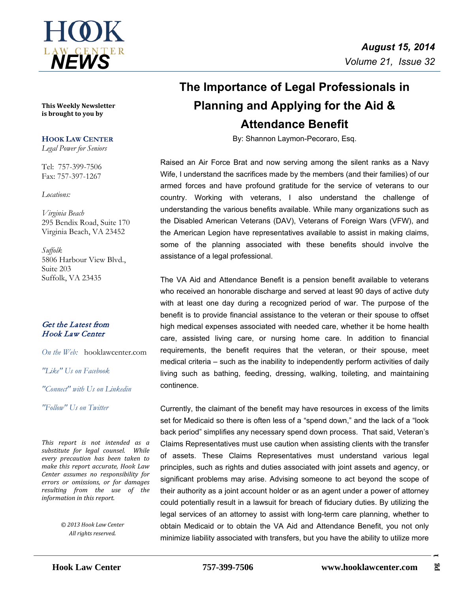

**This Weekly Newsletter is brought to you by** 

### **HOOK LAW CENTER**

*Legal Power for Seniors*

Tel: 757-399-7506 Fax: 757-397-1267

*Locations:*

*Virginia Beach* 295 Bendix Road, Suite 170 Virginia Beach, VA 23452

*Suffolk* 5806 Harbour View Blvd., Suite 203 Suffolk, VA 23435

### Get the Latest from Hook Law Center

*On the Web:* [hooklawcenter.com](http://www.hooklawcenter.com/)

*"Like" Us on Facebook*

*"Connect" with Us on Linkedin*

*Follow*" Us on Ti *"Follow" Us on Twitter*

*This report is not intended as a substitute for legal counsel. While every precaution has been taken to make this report accurate, Hook Law Center assumes no responsibility for errors or omissions, or for damages resulting from the use of the information in this report.*

> *© 2013 Hook Law Center All rights reserved.*

# **The Importance of Legal Professionals in Planning and Applying for the Aid & Attendance Benefit**

By: Shannon Laymon-Pecoraro, Esq.

Raised an Air Force Brat and now serving among the silent ranks as a Navy Wife, I understand the sacrifices made by the members (and their families) of our armed forces and have profound gratitude for the service of veterans to our country. Working with veterans, I also understand the challenge of understanding the various benefits available. While many organizations such as the Disabled American Veterans (DAV), Veterans of Foreign Wars (VFW), and the American Legion have representatives available to assist in making claims, some of the planning associated with these benefits should involve the assistance of a legal professional.

The VA Aid and Attendance Benefit is a pension benefit available to veterans who received an honorable discharge and served at least 90 days of active duty with at least one day during a recognized period of war. The purpose of the benefit is to provide financial assistance to the veteran or their spouse to offset high medical expenses associated with needed care, whether it be home health care, assisted living care, or nursing home care. In addition to financial requirements, the benefit requires that the veteran, or their spouse, meet medical criteria – such as the inability to independently perform activities of daily living such as bathing, feeding, dressing, walking, toileting, and maintaining continence.

Currently, the claimant of the benefit may have resources in excess of the limits set for Medicaid so there is often less of a "spend down," and the lack of a "look back period" simplifies any necessary spend down process. That said, Veteran's Claims Representatives must use caution when assisting clients with the transfer of assets. These Claims Representatives must understand various legal principles, such as rights and duties associated with joint assets and agency, or significant problems may arise. Advising someone to act beyond the scope of their authority as a joint account holder or as an agent under a power of attorney could potentially result in a lawsuit for breach of fiduciary duties. By utilizing the legal services of an attorney to assist with long-term care planning, whether to obtain Medicaid or to obtain the VA Aid and Attendance Benefit, you not only minimize liability associated with transfers, but you have the ability to utilize more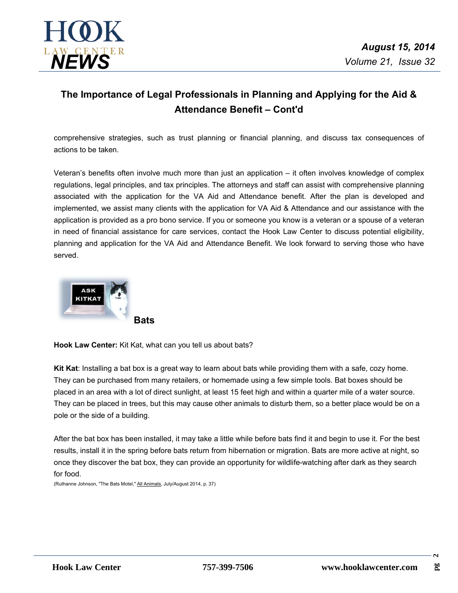

## **The Importance of Legal Professionals in Planning and Applying for the Aid & Attendance Benefit– Cont'd**

comprehensive strategies, such as trust planning or financial planning, and discuss tax consequences of actions to be taken.

Veteran's benefits often involve much more than just an application – it often involves knowledge of complex regulations, legal principles, and tax principles. The attorneys and staff can assist with comprehensive planning associated with the application for the VA Aid and Attendance benefit. After the plan is developed and implemented, we assist many clients with the application for VA Aid & Attendance and our assistance with the application is provided as a pro bono service. If you or someone you know is a veteran or a spouse of a veteran in need of financial assistance for care services, contact the Hook Law Center to discuss potential eligibility, planning and application for the VA Aid and Attendance Benefit. We look forward to serving those who have served.



**Hook Law Center:** Kit Kat, what can you tell us about bats?

**Kit Kat**: Installing a bat box is a great way to learn about bats while providing them with a safe, cozy home. They can be purchased from many retailers, or homemade using a few simple tools. Bat boxes should be placed in an area with a lot of direct sunlight, at least 15 feet high and within a quarter mile of a water source. They can be placed in trees, but this may cause other animals to disturb them, so a better place would be on a pole or the side of a building.

After the bat box has been installed, it may take a little while before bats find it and begin to use it. For the best results, install it in the spring before bats return from hibernation or migration. Bats are more active at night, so once they discover the bat box, they can provide an opportunity for wildlife-watching after dark as they search for food.

(Ruthanne Johnson, "The Bats Motel," All Animals, July/August 2014, p. 37)

 $\sim$